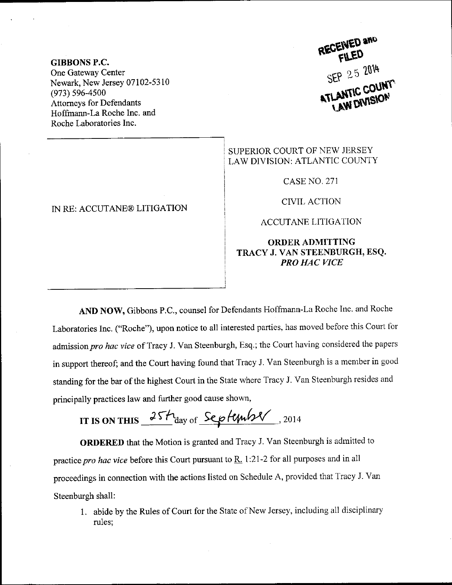GIBBONS P.C. One Gateway Center Newark, New Jersey 07102-5310 (973) 596-4500 Attorneys for Defendants Hoffrnann-La Roche lnc. and Roche Laboratories Inc.

## IN RE: ACCUTANE@ LITIGATION

RECEIVED and SEP 25 2014 **ATLANTIC COUN** 

## SUPERIOR COURT OF NEW JERSEY LAW DIVISION: ATLANTIC COUNTY

CASE NO. 271

CIVIL ACTION

ACCUTANE LITIGATION

## ORDERADMITTING TRACY J. VAN STEENBURGH, ESQ. PRO HAC VICE

AND NOW, Gibbons P.c., counsel for Defendants Hoffmann-La Roche Inc. and Roche Laboratories Inc. ("Roche"), upon notice to all interested parties, has moved before this Court for admission pro hac vice of Tracy J. Van Steenburgh, Esq.; the Court having considered the papers in support thereof; and the Court having found that Tracy J. Van Steenburgh is a member in good standing for the bar of the highest Court in the State where Tracy J. Van Steenburgh resides and principally practices law and further good cause shown,

IT IS ON THIS  $25h_{\text{day of}}$  September . 2014

ORDERED that the Motion is granted and Tracy J. Van Steenburgh is admitted to practice pro hac vice before this Court pursuant to  $\underline{R}$ . 1:21-2 for all purposes and in all proceedings in connection with the actions listed on Schedule A, provided that Tracy J. van Steenburgh shall:

1. abide by the Rules of court for the State of New Jersey, including all disciplinary rules;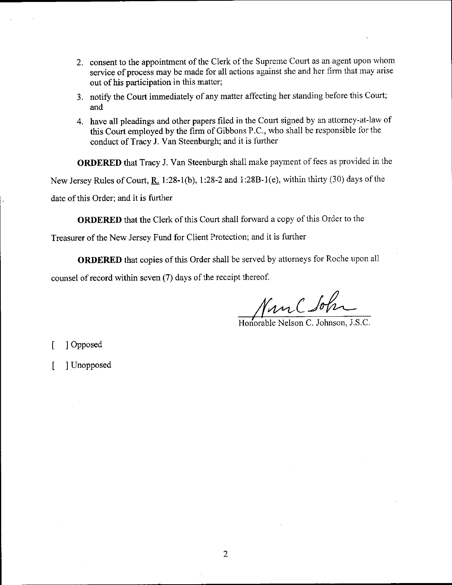- 2. consent to the appointment of the Clerk of the Supreme Court as an agent upon whom service of process may be made for all actions against she and her firm that may arise out of his participation in this matter;
- 3. notify the Court immediately of any matter affecting her standing before this Court; and
- 4. have all pleadings and other papers filed in the Court signed by an attorney-at-law of this Court employed by the firm of Gibbons P.C., who shall be responsible for the conduct of Tracy J. Van Steenburgh; and it is further

ORDERED that Tracy J. Van Steenburgh shall make payment of fees as provided in the New Jersey Rules of Court,  $R_1$  1:28-1(b), 1:28-2 and 1:28B-1(e), within thirty (30) days of the date of this Order; and it is further

ORDERED that the Clerk of this Court shall forward a copy of this Order to the

Treasurer of the New Jersey Fund for Client Protection; and it is further

ORDERED that copies of this Order shall be served by attomeys for Roche upon all counsel of record within seven (7) days of the receipt thereof.

/h\*,-C j'/"-

Horiorable Nelson C. Johrson, J.S.C.

 $\mathsf{L}$ I Opposed

t I Unopposed